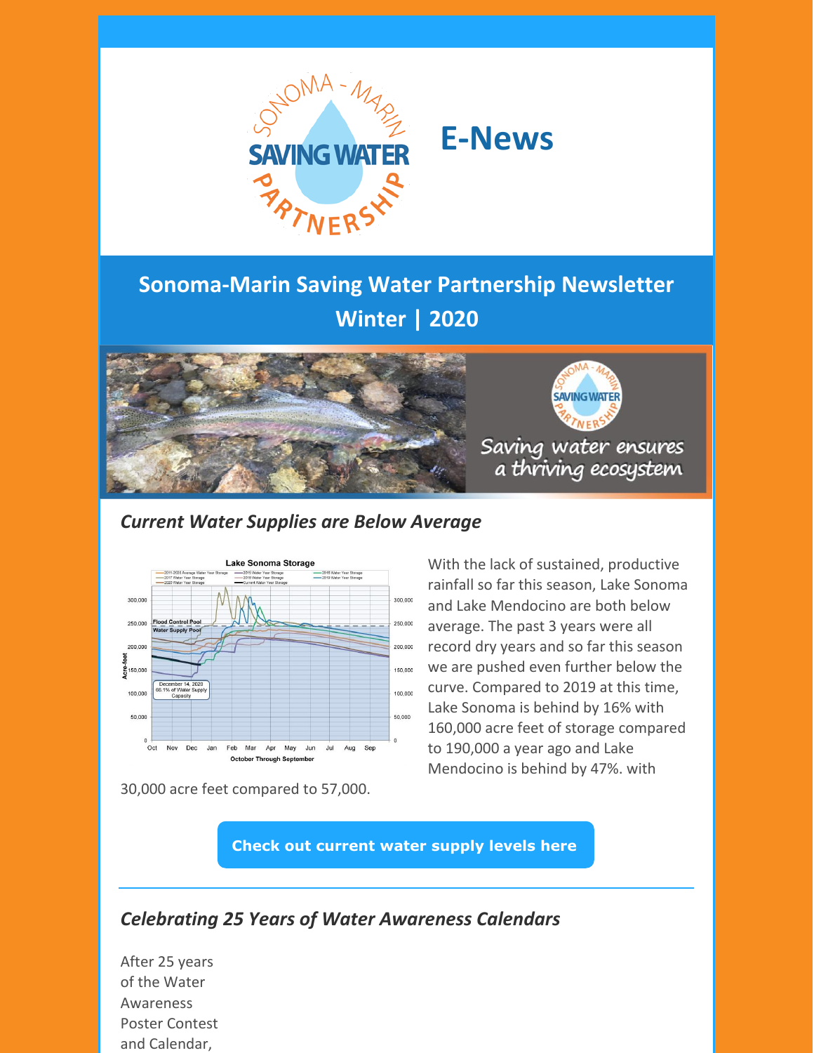

# **E-News**

# **Sonoma-Marin Saving Water Partnership Newsletter Winter | 2020**





Saving water ensures a thriving ecosystem

### *Current Water Supplies are Below Average*



30,000 acre feet compared to 57,000.

With the lack of sustained, productive rainfall so far this season, Lake Sonoma and Lake Mendocino are both below average. The past 3 years were all record dry years and so far this season we are pushed even further below the curve. Compared to 2019 at this time, Lake Sonoma is behind by 16% with 160,000 acre feet of storage compared to 190,000 a year ago and Lake Mendocino is behind by 47%. with

**Check out [current](https://www.sonomawater.org/current-water-supply-levels) water supply levels here**

## *Celebrating 25 Years of Water Awareness Calendars*

After 25 years of the Water Awareness Poster Contest and Calendar,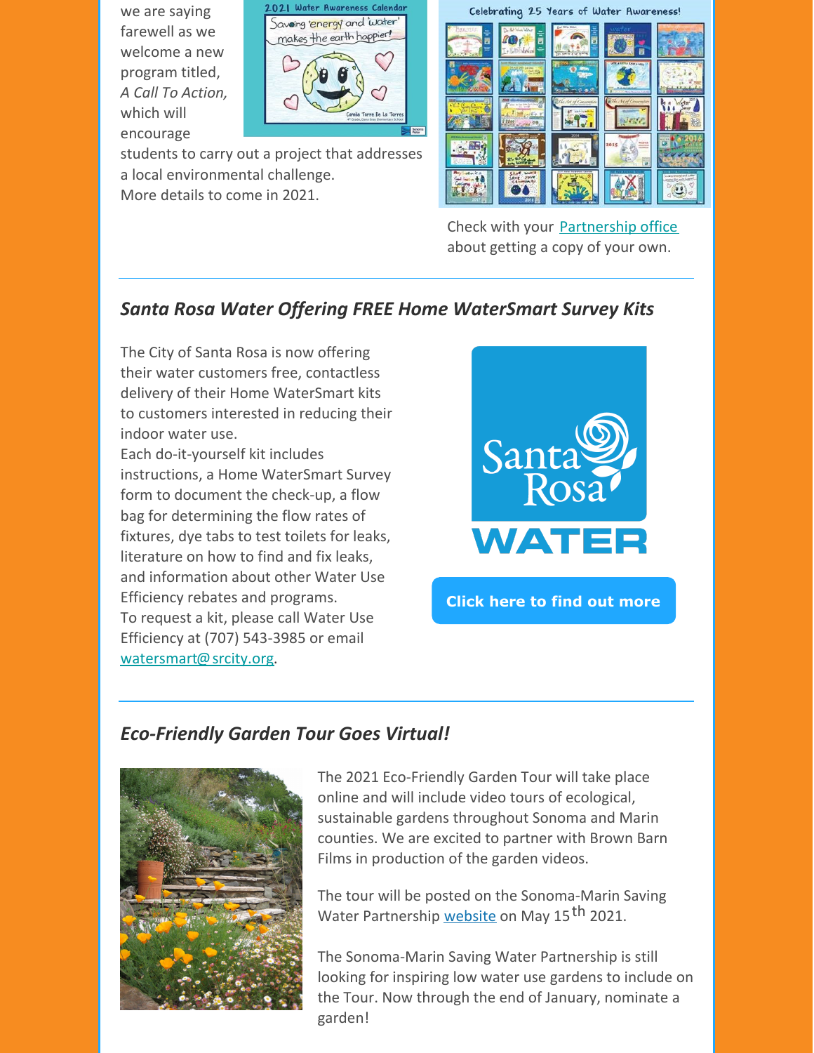we are saying farewell as we welcome a new program titled, *A Call To Action,* which will encourage



students to carry out a project that addresses a local environmental challenge. More details to come in 2021.

Celebrating 25 Years of Water Awareness!



Check with your [Partnership](https://gcc02.safelinks.protection.outlook.com/?url=http%3A%2F%2Fwww.savingwaterpartnership.org%2Fpartner%2F&data=04%7C01%7CKristine.Loomis%40scwa.ca.gov%7C104e6813ebee4e54552708d8a3320f0a%7Cc93b7179f57841648fe1c2704c730887%7C0%7C0%7C637438782708065083%7CUnknown%7CTWFpbGZsb3d8eyJWIjoiMC4wLjAwMDAiLCJQIjoiV2luMzIiLCJBTiI6Ik1haWwiLCJXVCI6Mn0%3D%7C3000&sdata=TIyRUr%2F7iCbafGE9oh9bVqKkMlmozB1WrMZnEZ%2BR8Cw%3D&reserved=0) office about getting a copy of your own.

# *Santa Rosa Water Offering FREE Home WaterSmart Survey Kits*

The City of Santa Rosa is now offering their water customers free, contactless delivery of their Home WaterSmart kits to customers interested in reducing their indoor water use.

Each do-it-yourself kit includes instructions, a Home WaterSmart Survey form to document the check-up, a flow bag for determining the flow rates of fixtures, dye tabs to test toilets for leaks, literature on how to find and fix leaks, and information about other Water Use Efficiency rebates and programs. To request a kit, please call Water Use Efficiency at (707) 543-3985 or email [watersmart@srcity.org](mailto:watersmart@srcity.org).



**Click here to find out [more](https://srcity.org/3206/WaterSmart-Check-up)**

#### *Eco-Friendly Garden Tour Goes Virtual!*



The 2021 Eco-Friendly Garden Tour will take place online and will include video tours of ecological, sustainable gardens throughout Sonoma and Marin counties. We are excited to partner with Brown Barn Films in production of the garden videos.

The tour will be posted on the Sonoma-Marin Saving Water Partnership <u>[website](http://www.savingwaterpartnership.org/eco-friendly-garden-tour/)</u> on May 15 <sup>th</sup> 2021.

The Sonoma-Marin Saving Water Partnership is still looking for inspiring low water use gardens to include on the Tour. Now through the end of January, nominate a garden!